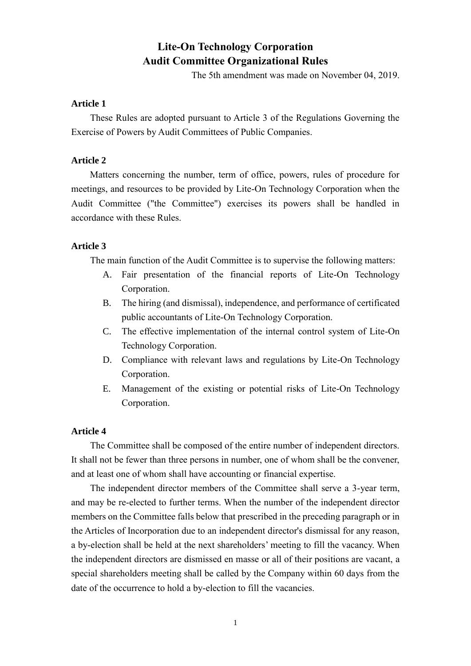# **Lite-On Technology Corporation Audit Committee Organizational Rules**

The 5th amendment was made on November 04, 2019.

# **Article 1**

These Rules are adopted pursuant to Article 3 of the Regulations Governing the Exercise of Powers by Audit Committees of Public Companies.

# **Article 2**

Matters concerning the number, term of office, powers, rules of procedure for meetings, and resources to be provided by Lite-On Technology Corporation when the Audit Committee ("the Committee") exercises its powers shall be handled in accordance with these Rules.

## **Article 3**

The main function of the Audit Committee is to supervise the following matters:

- A. Fair presentation of the financial reports of Lite-On Technology Corporation.
- B. The hiring (and dismissal), independence, and performance of certificated public accountants of Lite-On Technology Corporation.
- C. The effective implementation of the internal control system of Lite-On Technology Corporation.
- D. Compliance with relevant laws and regulations by Lite-On Technology Corporation.
- E. Management of the existing or potential risks of Lite-On Technology Corporation.

## **Article 4**

The Committee shall be composed of the entire number of independent directors. It shall not be fewer than three persons in number, one of whom shall be the convener, and at least one of whom shall have accounting or financial expertise.

The independent director members of the Committee shall serve a 3-year term, and may be re-elected to further terms. When the number of the independent director members on the Committee falls below that prescribed in the preceding paragraph or in the Articles of Incorporation due to an independent director's dismissal for any reason, a by-election shall be held at the next shareholders' meeting to fill the vacancy. When the independent directors are dismissed en masse or all of their positions are vacant, a special shareholders meeting shall be called by the Company within 60 days from the date of the occurrence to hold a by-election to fill the vacancies.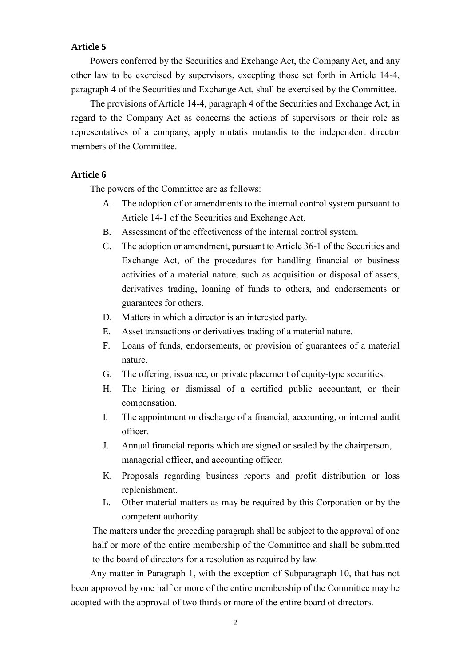#### **Article 5**

Powers conferred by the Securities and Exchange Act, the Company Act, and any other law to be exercised by supervisors, excepting those set forth in Article 14-4, paragraph 4 of the Securities and Exchange Act, shall be exercised by the Committee.

The provisions of Article 14-4, paragraph 4 of the Securities and Exchange Act, in regard to the Company Act as concerns the actions of supervisors or their role as representatives of a company, apply mutatis mutandis to the independent director members of the Committee.

#### **Article 6**

The powers of the Committee are as follows:

- A. The adoption of or amendments to the internal control system pursuant to Article 14-1 of the Securities and Exchange Act.
- B. Assessment of the effectiveness of the internal control system.
- C. The adoption or amendment, pursuant to Article 36-1 of the Securities and Exchange Act, of the procedures for handling financial or business activities of a material nature, such as acquisition or disposal of assets, derivatives trading, loaning of funds to others, and endorsements or guarantees for others.
- D. Matters in which a director is an interested party.
- E. Asset transactions or derivatives trading of a material nature.
- F. Loans of funds, endorsements, or provision of guarantees of a material nature.
- G. The offering, issuance, or private placement of equity-type securities.
- H. The hiring or dismissal of a certified public accountant, or their compensation.
- I. The appointment or discharge of a financial, accounting, or internal audit officer.
- J. Annual financial reports which are signed or sealed by the chairperson, managerial officer, and accounting officer.
- K. Proposals regarding business reports and profit distribution or loss replenishment.
- L. Other material matters as may be required by this Corporation or by the competent authority.

The matters under the preceding paragraph shall be subject to the approval of one half or more of the entire membership of the Committee and shall be submitted to the board of directors for a resolution as required by law.

Any matter in Paragraph 1, with the exception of Subparagraph 10, that has not been approved by one half or more of the entire membership of the Committee may be adopted with the approval of two thirds or more of the entire board of directors.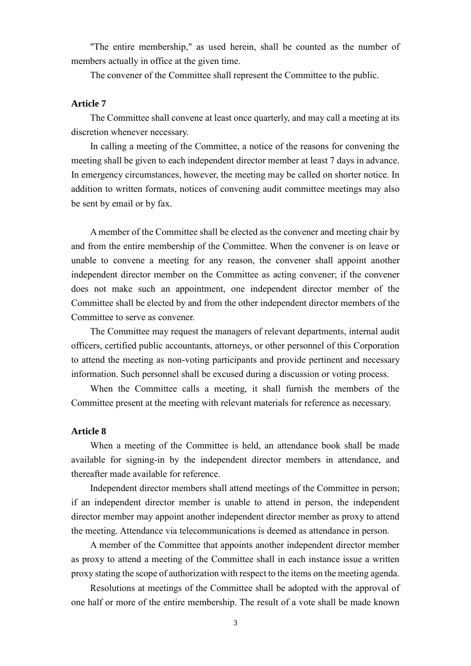"The entire membership," as used herein, shall be counted as the number of members actually in office at the given time.

The convener of the Committee shall represent the Committee to the public.

## **Article 7**

The Committee shall convene at least once quarterly, and may call a meeting at its discretion whenever necessary.

In calling a meeting of the Committee, a notice of the reasons for convening the meeting shall be given to each independent director member at least 7 days in advance. In emergency circumstances, however, the meeting may be called on shorter notice. In addition to written formats, notices of convening audit committee meetings may also be sent by email or by fax.

A member of the Committee shall be elected as the convener and meeting chair by and from the entire membership of the Committee. When the convener is on leave or unable to convene a meeting for any reason, the convener shall appoint another independent director member on the Committee as acting convener; if the convener does not make such an appointment, one independent director member of the Committee shall be elected by and from the other independent director members of the Committee to serve as convener.

The Committee may request the managers of relevant departments, internal audit officers, certified public accountants, attorneys, or other personnel of this Corporation to attend the meeting as non-voting participants and provide pertinent and necessary information. Such personnel shall be excused during a discussion or voting process.

When the Committee calls a meeting, it shall furnish the members of the Committee present at the meeting with relevant materials for reference as necessary.

## **Article 8**

When a meeting of the Committee is held, an attendance book shall be made available for signing-in by the independent director members in attendance, and thereafter made available for reference.

Independent director members shall attend meetings of the Committee in person; if an independent director member is unable to attend in person, the independent director member may appoint another independent director member as proxy to attend the meeting. Attendance via telecommunications is deemed as attendance in person.

A member of the Committee that appoints another independent director member as proxy to attend a meeting of the Committee shall in each instance issue a written proxy stating the scope of authorization with respect to the items on the meeting agenda.

Resolutions at meetings of the Committee shall be adopted with the approval of one half or more of the entire membership. The result of a vote shall be made known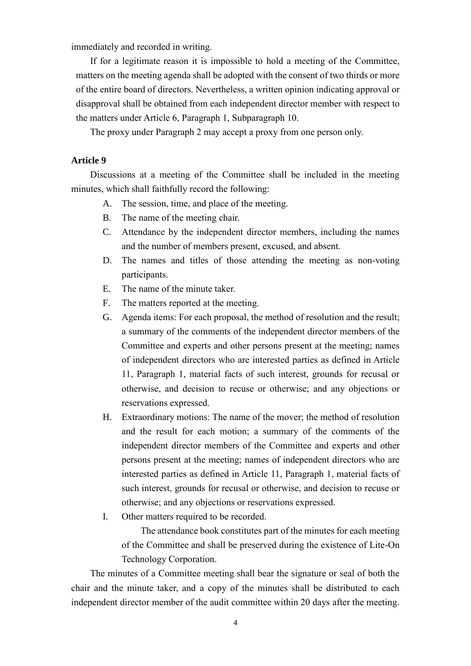immediately and recorded in writing.

If for a legitimate reason it is impossible to hold a meeting of the Committee, matters on the meeting agenda shall be adopted with the consent of two thirds or more of the entire board of directors. Nevertheless, a written opinion indicating approval or disapproval shall be obtained from each independent director member with respect to the matters under Article 6, Paragraph 1, Subparagraph 10.

The proxy under Paragraph 2 may accept a proxy from one person only.

# **Article 9**

Discussions at a meeting of the Committee shall be included in the meeting minutes, which shall faithfully record the following:

- A. The session, time, and place of the meeting.
- B. The name of the meeting chair.
- C. Attendance by the independent director members, including the names and the number of members present, excused, and absent.
- D. The names and titles of those attending the meeting as non-voting participants.
- E. The name of the minute taker.
- F. The matters reported at the meeting.
- G. Agenda items: For each proposal, the method of resolution and the result; a summary of the comments of the independent director members of the Committee and experts and other persons present at the meeting; names of independent directors who are interested parties as defined in Article 11, Paragraph 1, material facts of such interest, grounds for recusal or otherwise, and decision to recuse or otherwise; and any objections or reservations expressed.
- H. Extraordinary motions: The name of the mover; the method of resolution and the result for each motion; a summary of the comments of the independent director members of the Committee and experts and other persons present at the meeting; names of independent directors who are interested parties as defined in Article 11, Paragraph 1, material facts of such interest, grounds for recusal or otherwise, and decision to recuse or otherwise; and any objections or reservations expressed.
- I. Other matters required to be recorded.

The attendance book constitutes part of the minutes for each meeting of the Committee and shall be preserved during the existence of Lite-On Technology Corporation.

The minutes of a Committee meeting shall bear the signature or seal of both the chair and the minute taker, and a copy of the minutes shall be distributed to each independent director member of the audit committee within 20 days after the meeting.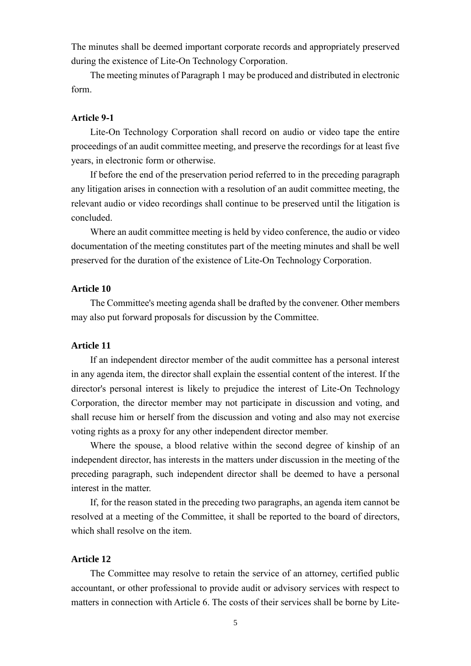The minutes shall be deemed important corporate records and appropriately preserved during the existence of Lite-On Technology Corporation.

The meeting minutes of Paragraph 1 may be produced and distributed in electronic form.

#### **Article 9-1**

Lite-On Technology Corporation shall record on audio or video tape the entire proceedings of an audit committee meeting, and preserve the recordings for at least five years, in electronic form or otherwise.

If before the end of the preservation period referred to in the preceding paragraph any litigation arises in connection with a resolution of an audit committee meeting, the relevant audio or video recordings shall continue to be preserved until the litigation is concluded.

Where an audit committee meeting is held by video conference, the audio or video documentation of the meeting constitutes part of the meeting minutes and shall be well preserved for the duration of the existence of Lite-On Technology Corporation.

#### **Article 10**

The Committee's meeting agenda shall be drafted by the convener. Other members may also put forward proposals for discussion by the Committee.

## **Article 11**

If an independent director member of the audit committee has a personal interest in any agenda item, the director shall explain the essential content of the interest. If the director's personal interest is likely to prejudice the interest of Lite-On Technology Corporation, the director member may not participate in discussion and voting, and shall recuse him or herself from the discussion and voting and also may not exercise voting rights as a proxy for any other independent director member.

Where the spouse, a blood relative within the second degree of kinship of an independent director, has interests in the matters under discussion in the meeting of the preceding paragraph, such independent director shall be deemed to have a personal interest in the matter.

If, for the reason stated in the preceding two paragraphs, an agenda item cannot be resolved at a meeting of the Committee, it shall be reported to the board of directors, which shall resolve on the item.

#### **Article 12**

The Committee may resolve to retain the service of an attorney, certified public accountant, or other professional to provide audit or advisory services with respect to matters in connection with Article 6. The costs of their services shall be borne by Lite